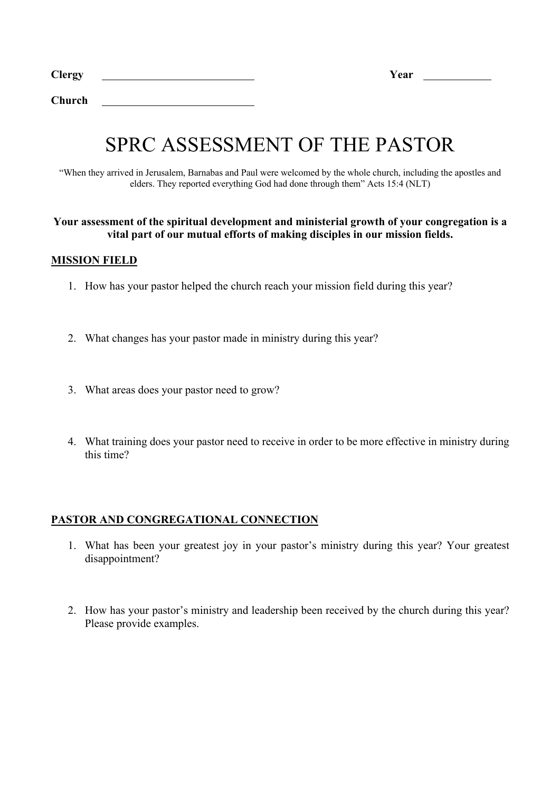**Church**

# SPRC ASSESSMENT OF THE PASTOR

"When they arrived in Jerusalem, Barnabas and Paul were welcomed by the whole church, including the apostles and elders. They reported everything God had done through them" Acts 15:4 (NLT)

#### **Your assessment of the spiritual development and ministerial growth of your congregation is a vital part of our mutual efforts of making disciples in our mission fields.**

## **MISSION FIELD**

- 1. How has your pastor helped the church reach your mission field during this year?
- 2. What changes has your pastor made in ministry during this year?
- 3. What areas does your pastor need to grow?
- 4. What training does your pastor need to receive in order to be more effective in ministry during this time?

## **PASTOR AND CONGREGATIONAL CONNECTION**

- 1. What has been your greatest joy in your pastor's ministry during this year? Your greatest disappointment?
- 2. How has your pastor's ministry and leadership been received by the church during this year? Please provide examples.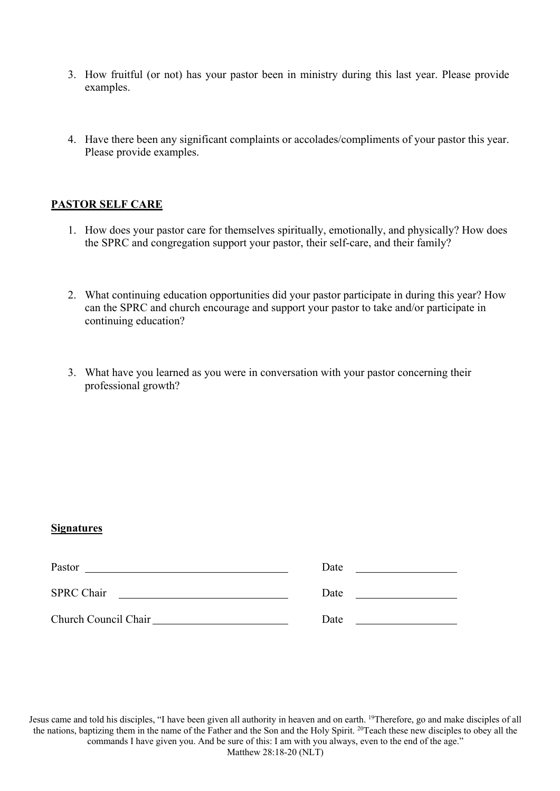- 3. How fruitful (or not) has your pastor been in ministry during this last year. Please provide examples.
- 4. Have there been any significant complaints or accolades/compliments of your pastor this year. Please provide examples.

## **PASTOR SELF CARE**

- 1. How does your pastor care for themselves spiritually, emotionally, and physically? How does the SPRC and congregation support your pastor, their self-care, and their family?
- 2. What continuing education opportunities did your pastor participate in during this year? How can the SPRC and church encourage and support your pastor to take and/or participate in continuing education?
- 3. What have you learned as you were in conversation with your pastor concerning their professional growth?

## **Signatures**

| Pastor               | Date |
|----------------------|------|
| <b>SPRC Chair</b>    | Date |
| Church Council Chair | Date |

Jesus came and told his disciples, "I have been given all authority in heaven and on earth. 19Therefore, go and make disciples of all the nations, baptizing them in the name of the Father and the Son and the Holy Spirit. 20Teach these new disciples to obey all the commands I have given you. And be sure of this: I am with you always, even to the end of the age." Matthew 28:18-20 (NLT)